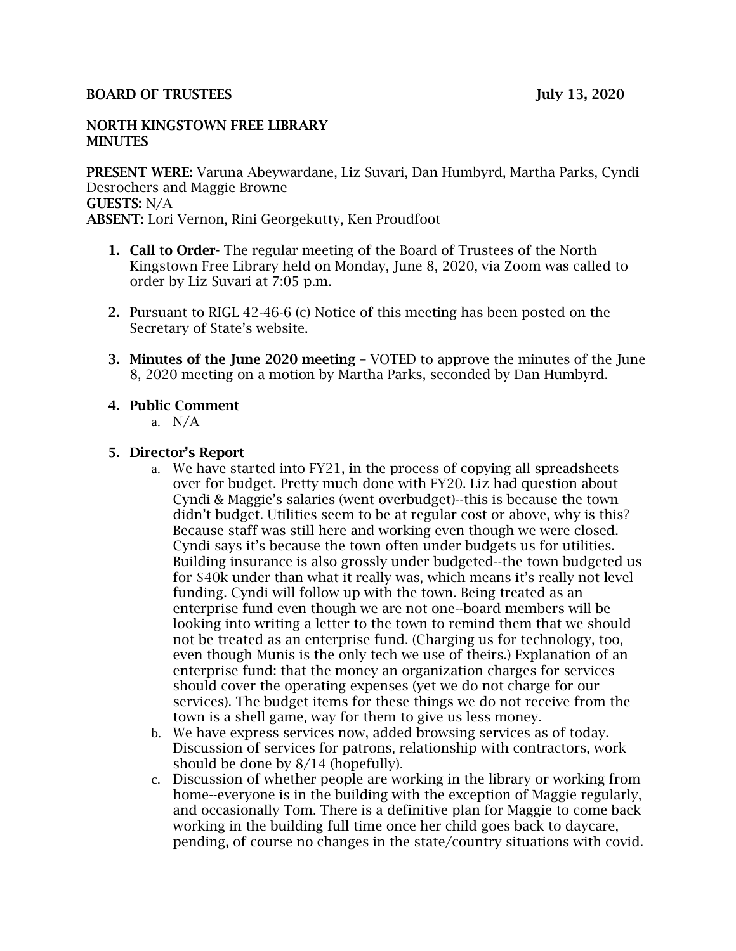#### BOARD OF TRUSTEES July 13, 2020

#### NORTH KINGSTOWN FREE LIBRARY **MINUTES**

PRESENT WERE: Varuna Abeywardane, Liz Suvari, Dan Humbyrd, Martha Parks, Cyndi Desrochers and Maggie Browne GUESTS: N/A ABSENT: Lori Vernon, Rini Georgekutty, Ken Proudfoot

- 1. Call to Order- The regular meeting of the Board of Trustees of the North Kingstown Free Library held on Monday, June 8, 2020, via Zoom was called to order by Liz Suvari at 7:05 p.m.
- 2. Pursuant to RIGL 42-46-6 (c) Notice of this meeting has been posted on the Secretary of State's website.
- 3. Minutes of the June 2020 meeting VOTED to approve the minutes of the June 8, 2020 meeting on a motion by Martha Parks, seconded by Dan Humbyrd.

## 4. Public Comment

a. N/A

## 5. Director's Report

- a. We have started into FY21, in the process of copying all spreadsheets over for budget. Pretty much done with FY20. Liz had question about Cyndi & Maggie's salaries (went overbudget)--this is because the town didn't budget. Utilities seem to be at regular cost or above, why is this? Because staff was still here and working even though we were closed. Cyndi says it's because the town often under budgets us for utilities. Building insurance is also grossly under budgeted--the town budgeted us for \$40k under than what it really was, which means it's really not level funding. Cyndi will follow up with the town. Being treated as an enterprise fund even though we are not one--board members will be looking into writing a letter to the town to remind them that we should not be treated as an enterprise fund. (Charging us for technology, too, even though Munis is the only tech we use of theirs.) Explanation of an enterprise fund: that the money an organization charges for services should cover the operating expenses (yet we do not charge for our services). The budget items for these things we do not receive from the town is a shell game, way for them to give us less money.
- b. We have express services now, added browsing services as of today. Discussion of services for patrons, relationship with contractors, work should be done by 8/14 (hopefully).
- c. Discussion of whether people are working in the library or working from home--everyone is in the building with the exception of Maggie regularly, and occasionally Tom. There is a definitive plan for Maggie to come back working in the building full time once her child goes back to daycare, pending, of course no changes in the state/country situations with covid.